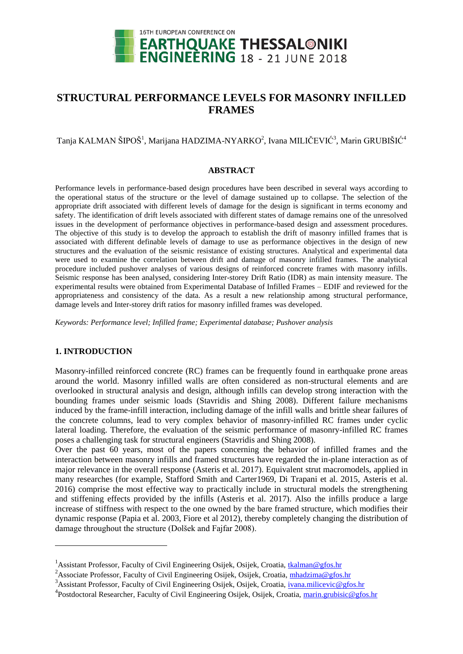

# **STRUCTURAL PERFORMANCE LEVELS FOR MASONRY INFILLED FRAMES**

 $\rm T$ anja KALMAN ŠIPOŠ $^1$ , Marijana HADZIMA-NYARKO $^2$ , Ivana MILIČEVIĆ $^3$ , Marin GRUBIŠIĆ $^4$ 

#### **ABSTRACT**

Performance levels in performance-based design procedures have been described in several ways according to the operational status of the structure or the level of damage sustained up to collapse. The selection of the appropriate drift associated with different levels of damage for the design is significant in terms economy and safety. The identification of drift levels associated with different states of damage remains one of the unresolved issues in the development of performance objectives in performance-based design and assessment procedures. The objective of this study is to develop the approach to establish the drift of masonry infilled frames that is associated with different definable levels of damage to use as performance objectives in the design of new structures and the evaluation of the seismic resistance of existing structures. Analytical and experimental data were used to examine the correlation between drift and damage of masonry infilled frames. The analytical procedure included pushover analyses of various designs of reinforced concrete frames with masonry infills. Seismic response has been analysed, considering Inter-storey Drift Ratio (IDR) as main intensity measure. The experimental results were obtained from Experimental Database of Infilled Frames – EDIF and reviewed for the appropriateness and consistency of the data. As a result a new relationship among structural performance, damage levels and Inter-storey drift ratios for masonry infilled frames was developed.

*Keywords: Performance level; Infilled frame; Experimental database; Pushover analysis*

# **1. INTRODUCTION**

 $\overline{a}$ 

Masonry-infilled reinforced concrete (RC) frames can be frequently found in earthquake prone areas around the world. Masonry infilled walls are often considered as non-structural elements and are overlooked in structural analysis and design, although infills can develop strong interaction with the bounding frames under seismic loads (Stavridis and Shing 2008). Different failure mechanisms induced by the frame-infill interaction, including damage of the infill walls and brittle shear failures of the concrete columns, lead to very complex behavior of masonry-infilled RC frames under cyclic lateral loading. Therefore, the evaluation of the seismic performance of masonry-infilled RC frames poses a challenging task for structural engineers (Stavridis and Shing 2008).

Over the past 60 years, most of the papers concerning the behavior of infilled frames and the interaction between masonry infills and framed structures have regarded the in-plane interaction as of major relevance in the overall response (Asteris et al. 2017). Equivalent strut macromodels, applied in many researches (for example, Stafford Smith and Carter1969, Di Trapani et al. 2015, Asteris et al. 2016) comprise the most effective way to practically include in structural models the strengthening and stiffening effects provided by the infills (Asteris et al. 2017). Also the infills produce a large increase of stiffness with respect to the one owned by the bare framed structure, which modifies their dynamic response (Papia et al. 2003, Fiore et al 2012), thereby completely changing the distribution of damage throughout the structure (Dolšek and Fajfar 2008).

<sup>&</sup>lt;sup>1</sup> Assistant Professor, Faculty of Civil Engineering Osijek, Osijek, Croatia, [tkalman@gfos.hr](mailto:tkalman@gfos.hr)

<sup>&</sup>lt;sup>2</sup>Associate Professor, Faculty of Civil Engineering Osijek, Osijek, Croatia, [mhadzima@gfos.hr](file:///C:/Users/mhadzima/Downloads/mhadzima@gfos.hr)

<sup>&</sup>lt;sup>3</sup>Assistant Professor, Faculty of Civil Engineering Osijek, Osijek, Croatia, [ivana.milicevic@gfos.hr](mailto:ivana.milicevic@gfos.hr)

<sup>&</sup>lt;sup>4</sup> Postdoctoral Researcher, Faculty of Civil Engineering Osijek, Osijek, Croatia, *marin.grubisic@gfos.hr*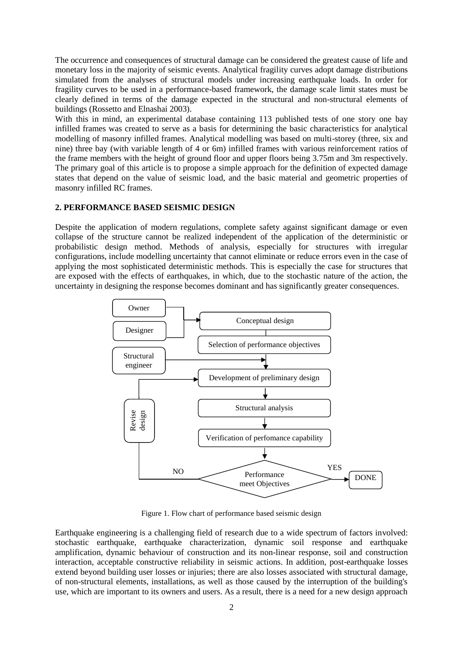The occurrence and consequences of structural damage can be considered the greatest cause of life and monetary loss in the majority of seismic events. Analytical fragility curves adopt damage distributions simulated from the analyses of structural models under increasing earthquake loads. In order for fragility curves to be used in a performance-based framework, the damage scale limit states must be clearly defined in terms of the damage expected in the structural and non-structural elements of buildings (Rossetto and Elnashai 2003).

With this in mind, an experimental database containing 113 published tests of one story one bay infilled frames was created to serve as a basis for determining the basic characteristics for analytical modelling of masonry infilled frames. Analytical modelling was based on multi-storey (three, six and nine) three bay (with variable length of 4 or 6m) infilled frames with various reinforcement ratios of the frame members with the height of ground floor and upper floors being 3.75m and 3m respectively. The primary goal of this article is to propose a simple approach for the definition of expected damage states that depend on the value of seismic load, and the basic material and geometric properties of masonry infilled RC frames.

#### **2. PERFORMANCE BASED SEISMIC DESIGN**

Despite the application of modern regulations, complete safety against significant damage or even collapse of the structure cannot be realized independent of the application of the deterministic or probabilistic design method. Methods of analysis, especially for structures with irregular configurations, include modelling uncertainty that cannot eliminate or reduce errors even in the case of applying the most sophisticated deterministic methods. This is especially the case for structures that are exposed with the effects of earthquakes, in which, due to the stochastic nature of the action, the uncertainty in designing the response becomes dominant and has significantly greater consequences.



Figure 1. Flow chart of performance based seismic design

Earthquake engineering is a challenging field of research due to a wide spectrum of factors involved: stochastic earthquake, earthquake characterization, dynamic soil response and earthquake amplification, dynamic behaviour of construction and its non-linear response, soil and construction interaction, acceptable constructive reliability in seismic actions. In addition, post-earthquake losses extend beyond building user losses or injuries; there are also losses associated with structural damage, of non-structural elements, installations, as well as those caused by the interruption of the building's use, which are important to its owners and users. As a result, there is a need for a new design approach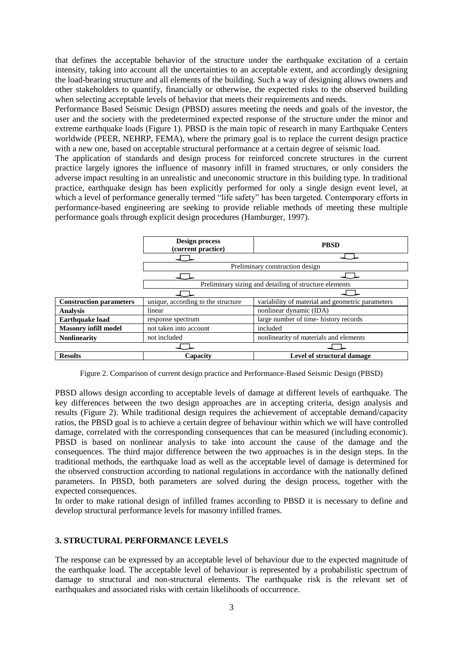that defines the acceptable behavior of the structure under the earthquake excitation of a certain intensity, taking into account all the uncertainties to an acceptable extent, and accordingly designing the load-bearing structure and all elements of the building. Such a way of designing allows owners and other stakeholders to quantify, financially or otherwise, the expected risks to the observed building when selecting acceptable levels of behavior that meets their requirements and needs.

Performance Based Seismic Design (PBSD) assures meeting the needs and goals of the investor, the user and the society with the predetermined expected response of the structure under the minor and extreme earthquake loads (Figure 1). PBSD is the main topic of research in many Earthquake Centers worldwide (PEER, NEHRP, FEMA), where the primary goal is to replace the current design practice with a new one, based on acceptable structural performance at a certain degree of seismic load.

The application of standards and design process for reinforced concrete structures in the current practice largely ignores the influence of masonry infill in framed structures, or only considers the adverse impact resulting in an unrealistic and uneconomic structure in this building type. In traditional practice, earthquake design has been explicitly performed for only a single design event level, at which a level of performance generally termed "life safety" has been targeted. Contemporary efforts in performance-based engineering are seeking to provide reliable methods of meeting these multiple performance goals through explicit design procedures (Hamburger, 1997).



Figure 2. Comparison of current design practice and Performance-Based Seismic Design (PBSD)

PBSD allows design according to acceptable levels of damage at different levels of earthquake. The key differences between the two design approaches are in accepting criteria, design analysis and results (Figure 2). While traditional design requires the achievement of acceptable demand/capacity ratios, the PBSD goal is to achieve a certain degree of behaviour within which we will have controlled damage, correlated with the corresponding consequences that can be measured (including economic). PBSD is based on nonlinear analysis to take into account the cause of the damage and the consequences. The third major difference between the two approaches is in the design steps. In the traditional methods, the earthquake load as well as the acceptable level of damage is determined for the observed construction according to national regulations in accordance with the nationally defined parameters. In PBSD, both parameters are solved during the design process, together with the expected consequences.

In order to make rational design of infilled frames according to PBSD it is necessary to define and develop structural performance levels for masonry infilled frames.

# **3. STRUCTURAL PERFORMANCE LEVELS**

The response can be expressed by an acceptable level of behaviour due to the expected magnitude of the earthquake load. The acceptable level of behaviour is represented by a probabilistic spectrum of damage to structural and non-structural elements. The earthquake risk is the relevant set of earthquakes and associated risks with certain likelihoods of occurrence.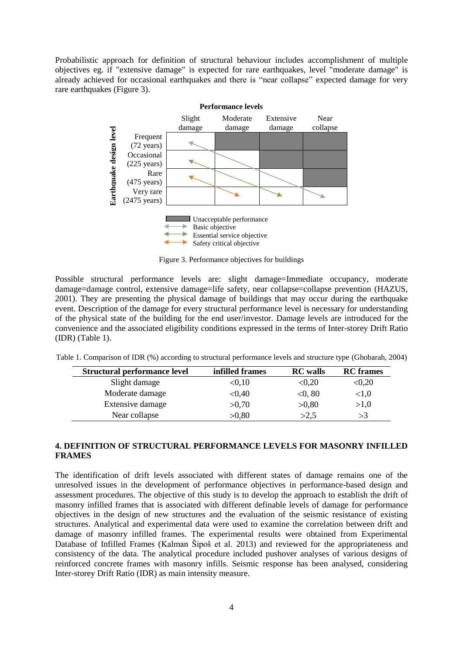Probabilistic approach for definition of structural behaviour includes accomplishment of multiple objectives eg. if "extensive damage" is expected for rare earthquakes, level "moderate damage" is already achieved for occasional earthquakes and there is "near collapse" expected damage for very rare earthquakes (Figure 3).



Figure 3. Performance objectives for buildings

Possible structural performance levels are: slight damage=Immediate occupancy, moderate damage=damage control, extensive damage=life safety, near collapse=collapse prevention (HAZUS, 2001). They are presenting the physical damage of buildings that may occur during the earthquake event. Description of the damage for every structural performance level is necessary for understanding of the physical state of the building for the end user/investor. Damage levels are introduced for the convenience and the associated eligibility conditions expressed in the terms of Inter-storey Drift Ratio (IDR) (Table 1).

| Structural performance level | infilled frames | <b>RC</b> walls | <b>RC</b> frames |
|------------------------------|-----------------|-----------------|------------------|
| Slight damage                | < 0.10          | < 0.20          | < 0.20           |
| Moderate damage              | < 0.40          | < 0.80          | < 1.0            |
| Extensive damage             | >0,70           | >0,80           | >1,0             |
| Near collapse                | >0,80           | >2.5            | >3               |

Table 1. Comparison of IDR (%) according to structural performance levels and structure type (Ghobarah, 2004)

# **4. DEFINITION OF STRUCTURAL PERFORMANCE LEVELS FOR MASONRY INFILLED FRAMES**

The identification of drift levels associated with different states of damage remains one of the unresolved issues in the development of performance objectives in performance-based design and assessment procedures. The objective of this study is to develop the approach to establish the drift of masonry infilled frames that is associated with different definable levels of damage for performance objectives in the design of new structures and the evaluation of the seismic resistance of existing structures. Analytical and experimental data were used to examine the correlation between drift and damage of masonry infilled frames. The experimental results were obtained from Experimental Database of Infilled Frames (Kalman Šipoš et al. 2013) and reviewed for the appropriateness and consistency of the data. The analytical procedure included pushover analyses of various designs of reinforced concrete frames with masonry infills. Seismic response has been analysed, considering Inter-storey Drift Ratio (IDR) as main intensity measure.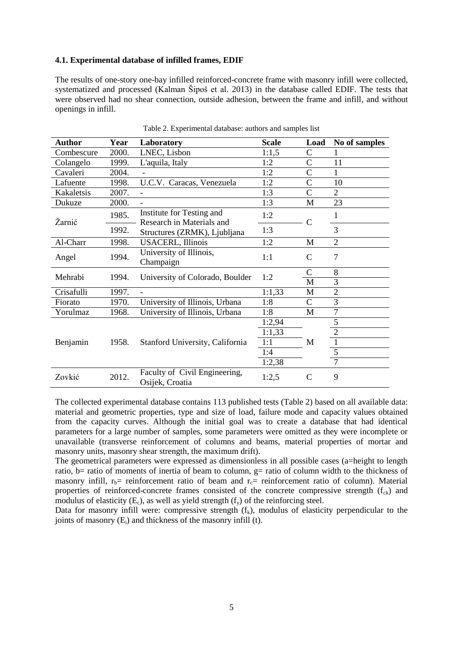## **4.1. Experimental database of infilled frames, EDIF**

The results of one-story one-bay infilled reinforced-concrete frame with masonry infill were collected, systematized and processed (Kalman Šipoš et al. 2013) in the database called EDIF. The tests that were observed had no shear connection, outside adhesion, between the frame and infill, and without openings in infill.

| <b>Author</b> | Year  | Laboratory                                       | <b>Scale</b> | Load           | No of samples  |
|---------------|-------|--------------------------------------------------|--------------|----------------|----------------|
| Combescure    | 2000. | LNEC, Lisbon                                     | 1:1,5        | C              |                |
| Colangelo     | 1999. | L'aquila, Italy                                  | 1:2          | $\mathsf{C}$   | 11             |
| Cavaleri      | 2004. |                                                  | 1:2          | C              |                |
| Lafuente      | 1998. | U.C.V. Caracas, Venezuela                        | 1:2          | $\overline{C}$ | 10             |
| Kakaletsis    | 2007. |                                                  | 1:3          | $\overline{C}$ | $\overline{2}$ |
| Dukuze        | 2000. |                                                  | 1:3          | M              | 23             |
|               | 1985. | Institute for Testing and                        | 1:2          |                |                |
| Žarnić        |       | Research in Materials and                        |              | C              |                |
|               | 1992. | Structures (ZRMK), Ljubljana                     | 1:3          |                | 3              |
| Al-Charr      | 1998. | <b>USACERL, Illinois</b>                         | 1:2          | M              | $\overline{2}$ |
| Angel         | 1994. | University of Illinois,                          | 1:1          | C              | $\overline{7}$ |
|               |       | Champaign                                        |              |                |                |
| Mehrabi       | 1994. | University of Colorado, Boulder                  | 1:2          | C              | 8              |
|               |       |                                                  |              | M              | 3              |
| Crisafulli    | 1997. |                                                  | 1:1,33       | M              | 2              |
| Fiorato       | 1970. | University of Illinois, Urbana                   | 1:8          | $\mathcal{C}$  | 3              |
| Yorulmaz      | 1968. | University of Illinois, Urbana                   | 1:8          | М              | 7              |
|               | 1958. | Stanford University, California                  | 1:2,94       |                | 5              |
|               |       |                                                  | 1:1,33       |                | $\overline{c}$ |
| Benjamin      |       |                                                  | 1:1          | M              | $\mathbf{1}$   |
|               |       |                                                  | 1:4          |                | $\overline{5}$ |
|               |       |                                                  | 1:2,38       |                | $\overline{7}$ |
| Zovkić        | 2012. | Faculty of Civil Engineering,<br>Osijek, Croatia | 1:2,5        | C              | 9              |

Table 2. Experimental database: authors and samples list

The collected experimental database contains 113 published tests (Table 2) based on all available data: material and geometric properties, type and size of load, failure mode and capacity values obtained from the capacity curves. Although the initial goal was to create a database that had identical parameters for a large number of samples, some parameters were omitted as they were incomplete or unavailable (transverse reinforcement of columns and beams, material properties of mortar and masonry units, masonry shear strength, the maximum drift).

The geometrical parameters were expressed as dimensionless in all possible cases (a=height to length ratio, b= ratio of moments of inertia of beam to column,  $g=$  ratio of column width to the thickness of masonry infill,  $r_b$ = reinforcement ratio of beam and  $r_c$ = reinforcement ratio of column). Material properties of reinforced-concrete frames consisted of the concrete compressive strength  $(f_{c<sub>k</sub>})$  and modulus of elasticity  $(E_c)$ , as well as yield strength  $(f_v)$  of the reinforcing steel.

Data for masonry infill were: compressive strength  $(f_k)$ , modulus of elasticity perpendicular to the joints of masonry  $(E_i)$  and thickness of the masonry infill (t).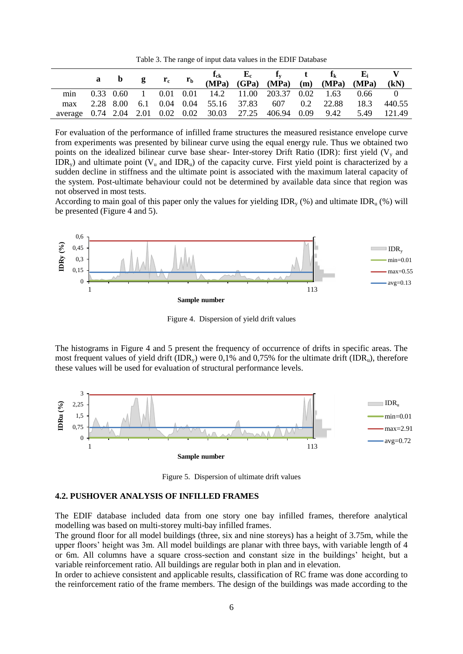Table 3. The range of input data values in the EDIF Database

|     |  |  |  | a b g $r_c$ $r_b$ $\frac{f_{ck}}{(MPa)}$ $\frac{E_c}{(GPa)}$ $\frac{f_y}{(MPa)}$ $\frac{t}{(MPa)}$ $\frac{f_k}{(MPa)}$ $\frac{E_i}{(MPa)}$ $\frac{V}{(MPa)}$ |  |          | (kN)   |
|-----|--|--|--|--------------------------------------------------------------------------------------------------------------------------------------------------------------|--|----------|--------|
| min |  |  |  | 0.33 0.60 1 0.01 0.01 14.2 11.00 203.37 0.02 1.63                                                                                                            |  | $0.66$ 0 |        |
| max |  |  |  | 2.28 8.00 6.1 0.04 0.04 55.16 37.83 607 0.2 22.88                                                                                                            |  | 18.3     | 440.55 |
|     |  |  |  | average 0.74 2.04 2.01 0.02 0.02 30.03 27.25 406.94 0.09 9.42                                                                                                |  | 5.49     | 121.49 |

For evaluation of the performance of infilled frame structures the measured resistance envelope curve from experiments was presented by bilinear curve using the equal energy rule. Thus we obtained two points on the idealized bilinear curve base shear- Inter-storey Drift Ratio (IDR): first yield  $(V<sub>v</sub>$  and IDR<sub>y</sub>) and ultimate point ( $V_u$  and IDR<sub>u</sub>) of the capacity curve. First yield point is characterized by a sudden decline in stiffness and the ultimate point is associated with the maximum lateral capacity of the system. Post-ultimate behaviour could not be determined by available data since that region was not observed in most tests.

According to main goal of this paper only the values for yielding  $\text{IDR}_{y}(%)$  and ultimate  $\text{IDR}_{y}(%)$  will be presented (Figure 4 and 5).



Figure 4. Dispersion of yield drift values

The histograms in Figure 4 and 5 present the frequency of occurrence of drifts in specific areas. The most frequent values of yield drift (IDR<sub>v</sub>) were 0,1% and 0,75% for the ultimate drift (IDR<sub>u</sub>), therefore these values will be used for evaluation of structural performance levels.



Figure 5. Dispersion of ultimate drift values

#### **4.2. PUSHOVER ANALYSIS OF INFILLED FRAMES**

The EDIF database included data from one story one bay infilled frames, therefore analytical modelling was based on multi-storey multi-bay infilled frames.

The ground floor for all model buildings (three, six and nine storeys) has a height of 3.75m, while the upper floors' height was 3m. All model buildings are planar with three bays, with variable length of 4 or 6m. All columns have a square cross-section and constant size in the buildings' height, but a variable reinforcement ratio. All buildings are regular both in plan and in elevation.

In order to achieve consistent and applicable results, classification of RC frame was done according to the reinforcement ratio of the frame members. The design of the buildings was made according to the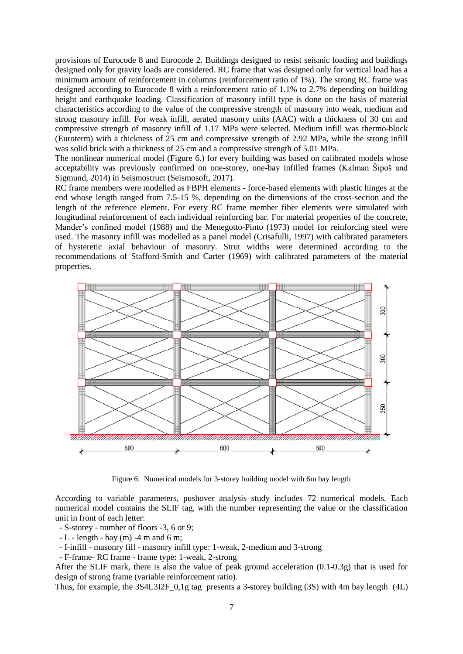provisions of Eurocode 8 and Eurocode 2. Buildings designed to resist seismic loading and buildings designed only for gravity loads are considered. RC frame that was designed only for vertical load has a minimum amount of reinforcement in columns (reinforcement ratio of 1%). The strong RC frame was designed according to Eurocode 8 with a reinforcement ratio of 1.1% to 2.7% depending on building height and earthquake loading. Classification of masonry infill type is done on the basis of material characteristics according to the value of the compressive strength of masonry into weak, medium and strong masonry infill. For weak infill, aerated masonry units (AAC) with a thickness of 30 cm and compressive strength of masonry infill of 1.17 MPa were selected. Medium infill was thermo-block (Euroterm) with a thickness of 25 cm and compressive strength of 2.92 MPa, while the strong infill was solid brick with a thickness of 25 cm and a compressive strength of 5.01 MPa.

The nonlinear numerical model (Figure 6.) for every building was based on calibrated models whose acceptability was previously confirmed on one-storey, one-bay infilled frames (Kalman Šipoš and Sigmund, 2014) in Seismostruct (Seismosoft, 2017).

RC frame members were modelled as FBPH elements - force-based elements with plastic hinges at the end whose length ranged from 7.5-15 %, depending on the dimensions of the cross-section and the length of the reference element. For every RC frame member fiber elements were simulated with longitudinal reinforcement of each individual reinforcing bar. For material properties of the concrete, Mander's confined model (1988) and the Menegotto-Pinto (1973) model for reinforcing steel were used. The masonry infill was modelled as a panel model (Crisafulli, 1997) with calibrated parameters of hysteretic axial behaviour of masonry. Strut widths were determined according to the recommendations of Stafford-Smith and Carter (1969) with calibrated parameters of the material properties.



Figure 6. Numerical models for 3-storey building model with 6m bay length

According to variable parameters, pushover analysis study includes 72 numerical models. Each numerical model contains the SLIF tag, with the number representing the value or the classification unit in front of each letter:

- S-storey - number of floors -3, 6 or 9;

 $-L$  - length - bay (m) -4 m and 6 m;

- I-infill - masonry fill - masonry infill type: 1-weak, 2-medium and 3-strong

- F-frame- RC frame - frame type: 1-weak, 2-strong

After the SLIF mark, there is also the value of peak ground acceleration (0.1-0.3g) that is used for design of strong frame (variable reinforcement ratio).

Thus, for example, the 3S4L3I2F  $0.1g$  tag presents a 3-storey building (3S) with 4m bay length (4L)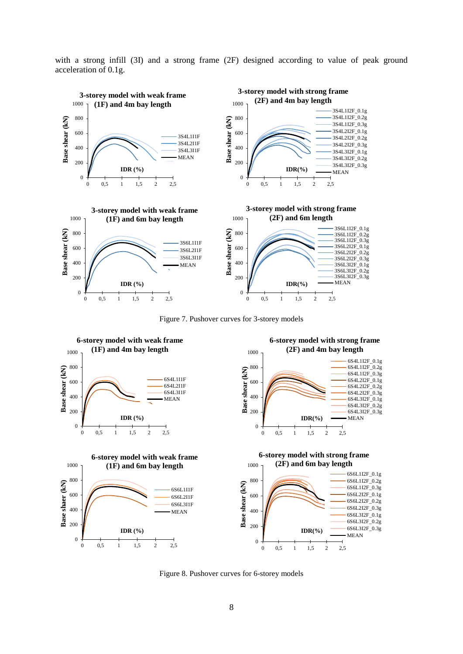with a strong infill (3I) and a strong frame (2F) designed according to value of peak ground acceleration of 0.1g.



Figure 7. Pushover curves for 3-storey models



Figure 8. Pushover curves for 6-storey models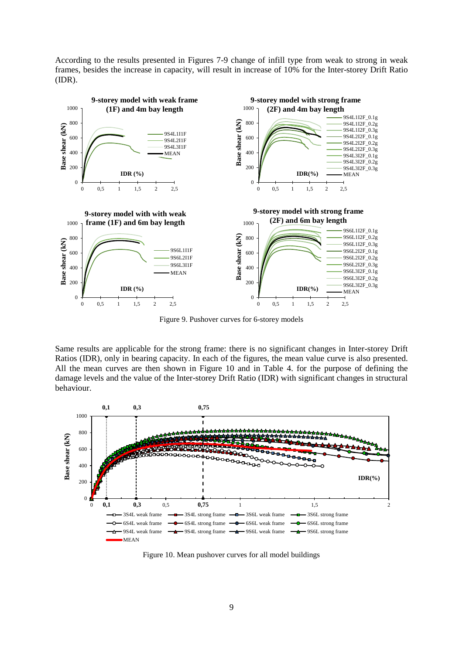According to the results presented in Figures 7-9 change of infill type from weak to strong in weak frames, besides the increase in capacity, will result in increase of 10% for the Inter-storey Drift Ratio (IDR).



Figure 9. Pushover curves for 6-storey models

Same results are applicable for the strong frame: there is no significant changes in Inter-storey Drift Ratios (IDR), only in bearing capacity. In each of the figures, the mean value curve is also presented. All the mean curves are then shown in Figure 10 and in Table 4. for the purpose of defining the damage levels and the value of the Inter-storey Drift Ratio (IDR) with significant changes in structural behaviour.



Figure 10. Mean pushover curves for all model buildings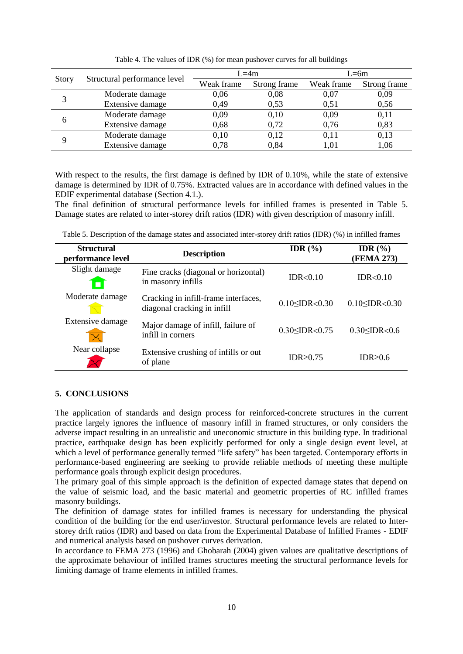|       |                              |            | $L = 4m$     | $L = 6m$   |              |  |
|-------|------------------------------|------------|--------------|------------|--------------|--|
| Story | Structural performance level | Weak frame | Strong frame | Weak frame | Strong frame |  |
| 3     | Moderate damage              | 0,06       | 0,08         | 0,07       | 0,09         |  |
|       | Extensive damage             | 0,49       | 0,53         | 0,51       | 0,56         |  |
| 6     | Moderate damage              | 0,09       | 0,10         | 0,09       | 0,11         |  |
|       | Extensive damage             | 0,68       | 0.72         | 0,76       | 0,83         |  |
| 9     | Moderate damage              | 0,10       | 0,12         | 0,11       | 0,13         |  |
|       | Extensive damage             | 0.78       | 0,84         | 1,01       | 1,06         |  |

Table 4. The values of IDR (%) for mean pushover curves for all buildings

With respect to the results, the first damage is defined by IDR of 0.10%, while the state of extensive damage is determined by IDR of 0.75%. Extracted values are in accordance with defined values in the EDIF experimental database (Section 4.1.).

The final definition of structural performance levels for infilled frames is presented in Table 5. Damage states are related to inter-storey drift ratios (IDR) with given description of masonry infill.

| Table 5. Description of the damage states and associated inter-storey drift ratios (IDR) (%) in infilled frames |  |  |
|-----------------------------------------------------------------------------------------------------------------|--|--|
|                                                                                                                 |  |  |

| <b>Structural</b><br>performance level | <b>Description</b>                                                  | IDR $(\% )$              | IDR $(\% )$<br>(FEMA 273) |  |
|----------------------------------------|---------------------------------------------------------------------|--------------------------|---------------------------|--|
| Slight damage                          | Fine cracks (diagonal or horizontal)<br>in masonry infills          | IDR<0.10                 | IDR<0.10                  |  |
| Moderate damage                        | Cracking in infill-frame interfaces,<br>diagonal cracking in infill | $0.10 \leq$ IDR $< 0.30$ | $0.10 \leq$ IDR< $0.30$   |  |
| Extensive damage                       | Major damage of infill, failure of<br>infill in corners             | $0.30 \leq$ IDR $< 0.75$ | $0.30 \leq$ IDR $< 0.6$   |  |
| Near collapse                          | Extensive crushing of infills or out<br>of plane                    | IDR $\geq$ 0.75          | IDR>0.6                   |  |

# **5. CONCLUSIONS**

The application of standards and design process for reinforced-concrete structures in the current practice largely ignores the influence of masonry infill in framed structures, or only considers the adverse impact resulting in an unrealistic and uneconomic structure in this building type. In traditional practice, earthquake design has been explicitly performed for only a single design event level, at which a level of performance generally termed "life safety" has been targeted. Contemporary efforts in performance-based engineering are seeking to provide reliable methods of meeting these multiple performance goals through explicit design procedures.

The primary goal of this simple approach is the definition of expected damage states that depend on the value of seismic load, and the basic material and geometric properties of RC infilled frames masonry buildings.

The definition of damage states for infilled frames is necessary for understanding the physical condition of the building for the end user/investor. Structural performance levels are related to Interstorey drift ratios (IDR) and based on data from the Experimental Database of Infilled Frames - EDIF and numerical analysis based on pushover curves derivation.

In accordance to FEMA 273 (1996) and Ghobarah (2004) given values are qualitative descriptions of the approximate behaviour of infilled frames structures meeting the structural performance levels for limiting damage of frame elements in infilled frames.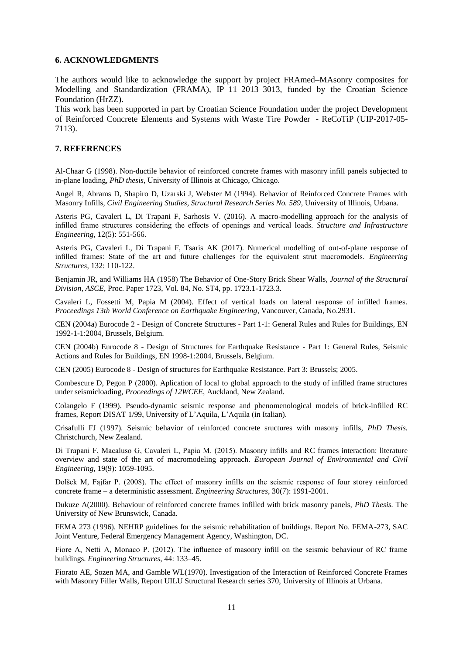#### **6. ACKNOWLEDGMENTS**

The authors would like to acknowledge the support by project FRAmed–MAsonry composites for Modelling and Standardization (FRAMA), IP–11–2013–3013, funded by the Croatian Science Foundation (HrZZ).

This work has been supported in part by Croatian Science Foundation under the project Development of Reinforced Concrete Elements and Systems with Waste Tire Powder - ReCoTiP (UIP-2017-05- 7113).

#### **7. REFERENCES**

Al-Chaar G (1998). Non-ductile behavior of reinforced concrete frames with masonry infill panels subjected to in-plane loading, *PhD thesis*, University of Illinois at Chicago, Chicago.

Angel R, Abrams D, Shapiro D, Uzarski J, Webster M (1994). Behavior of Reinforced Concrete Frames with Masonry Infills, *Civil Engineering Studies, Structural Research Series No. 589*, University of Illinois, Urbana.

Asteris PG, Cavaleri L, Di Trapani F, Sarhosis V. (2016). A macro-modelling approach for the analysis of infilled frame structures considering the effects of openings and vertical loads. *Structure and Infrastructure Engineering*, 12(5): 551-566.

Asteris PG, Cavaleri L, Di Trapani F, Tsaris AK (2017). Numerical modelling of out-of-plane response of infilled frames: State of the art and future challenges for the equivalent strut macromodels. *Engineering Structures*, 132: 110-122.

Benjamin JR, and Williams HA (1958) The Behavior of One-Story Brick Shear Walls, *Journal of the Structural Division, ASCE*, Proc. Paper 1723, Vol. 84, No. ST4, pp. 1723.1-1723.3.

Cavaleri L, Fossetti M, Papia M (2004). Effect of vertical loads on lateral response of infilled frames. *Proceedings 13th World Conference on Earthquake Engineering*, Vancouver, Canada, No.2931.

CEN (2004a) Eurocode 2 - Design of Concrete Structures - Part 1-1: General Rules and Rules for Buildings, EN 1992-1-1:2004, Brussels, Belgium.

CEN (2004b) Eurocode 8 - Design of Structures for Earthquake Resistance - Part 1: General Rules, Seismic Actions and Rules for Buildings, EN 1998-1:2004, Brussels, Belgium.

CEN (2005) Eurocode 8 - Design of structures for Earthquake Resistance. Part 3: Brussels; 2005.

Combescure D, Pegon P (2000). Aplication of local to global approach to the study of infilled frame structures under seismicloading, *Proceedings of 12WCEE*, Auckland, New Zealand.

Colangelo F (1999). Pseudo-dynamic seismic response and phenomenological models of brick-infilled RC frames, Report DISAT 1/99, University of L'Aquila, L'Aquila (in Italian).

Crisafulli FJ (1997). Seismic behavior of reinforced concrete sructures with masony infills, *PhD Thesis.* Christchurch, New Zealand.

Di Trapani F, Macaluso G, Cavaleri L, Papia M. (2015). Masonry infills and RC frames interaction: literature overview and state of the art of macromodeling approach. *European Journal of Environmental and Civil Engineering*, 19(9): 1059-1095.

Dolšek M, Fajfar P. (2008). The effect of masonry infills on the seismic response of four storey reinforced concrete frame – a deterministic assessment. *Engineering Structures*, 30(7): 1991-2001.

Dukuze A(2000). Behaviour of reinforced concrete frames infilled with brick masonry panels, *PhD Thesis.* The University of New Brunswick, Canada.

FEMA 273 (1996). NEHRP guidelines for the seismic rehabilitation of buildings. Report No. FEMA-273, SAC Joint Venture, Federal Emergency Management Agency, Washington, DC.

Fiore A, Netti A, Monaco P. (2012). The influence of masonry infill on the seismic behaviour of RC frame buildings. *Engineering Structures*, 44: 133–45.

Fiorato AE, Sozen MA, and Gamble WL(1970). Investigation of the Interaction of Reinforced Concrete Frames with Masonry Filler Walls, Report UILU Structural Research series 370, University of Illinois at Urbana.